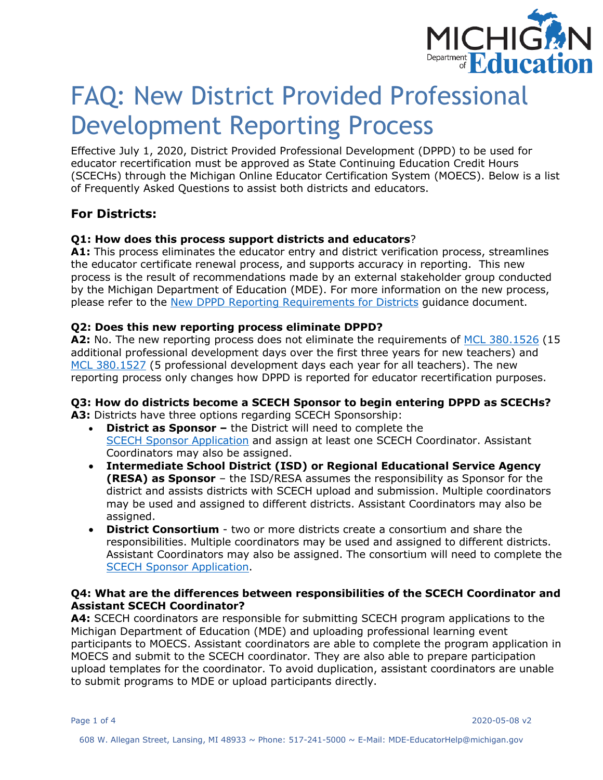

# FAQ: New District Provided Professional Development Reporting Process

Effective July 1, 2020, District Provided Professional Development (DPPD) to be used for educator recertification must be approved as State Continuing Education Credit Hours (SCECHs) through the Michigan Online Educator Certification System (MOECS). Below is a list of Frequently Asked Questions to assist both districts and educators.

# **For Districts:**

# **Q1: How does this process support districts and educators**?

**A1:** This process eliminates the educator entry and district verification process, streamlines the educator certificate renewal process, and supports accuracy in reporting. This new process is the result of recommendations made by an external stakeholder group conducted by the Michigan Department of Education (MDE). For more information on the new process, please refer to the [New DPPD Reporting Requirements for Districts](https://michigan.gov/documents/mde/New_Reporting_Process_for_DPPD_678201_7.pdf) guidance document.

# **Q2: Does this new reporting process eliminate DPPD?**

**A2:** No. The new reporting process does not eliminate the requirements of [MCL 380.1526](http://www.legislature.mi.gov/(S(5pwxcmmqhc0i4chbdk5f1cx4))/mileg.aspx?page=GetObject&objectname=mcl-380-1526) (15 additional professional development days over the first three years for new teachers) and [MCL 380.1527](http://www.legislature.mi.gov/(S(quuhkf5hntbx02zojnsjocbh))/mileg.aspx?page=GetObject&objectname=mcl-380-1527) (5 professional development days each year for all teachers). The new reporting process only changes how DPPD is reported for educator recertification purposes.

# **Q3: How do districts become a SCECH Sponsor to begin entering DPPD as SCECHs?**

**A3:** Districts have three options regarding SCECH Sponsorship:

- **District as Sponsor** the District will need to complete the [SCECH Sponsor Application](https://www.michigan.gov/documents/mde/SCECH_Sponsor_Application_705994_7.pdf) and assign at least one SCECH Coordinator. Assistant Coordinators may also be assigned.
- **Intermediate School District (ISD) or Regional Educational Service Agency (RESA) as Sponsor** – the ISD/RESA assumes the responsibility as Sponsor for the district and assists districts with SCECH upload and submission. Multiple coordinators may be used and assigned to different districts. Assistant Coordinators may also be assigned.
- **District Consortium** two or more districts create a consortium and share the responsibilities. Multiple coordinators may be used and assigned to different districts. Assistant Coordinators may also be assigned. The consortium will need to complete the [SCECH Sponsor Application.](https://www.michigan.gov/documents/mde/SCECH_Sponsor_Application_705994_7.pdf)

# **Q4: What are the differences between responsibilities of the SCECH Coordinator and Assistant SCECH Coordinator?**

**A4:** SCECH coordinators are responsible for submitting SCECH program applications to the Michigan Department of Education (MDE) and uploading professional learning event participants to MOECS. Assistant coordinators are able to complete the program application in MOECS and submit to the SCECH coordinator. They are also able to prepare participation upload templates for the coordinator. To avoid duplication, assistant coordinators are unable to submit programs to MDE or upload participants directly.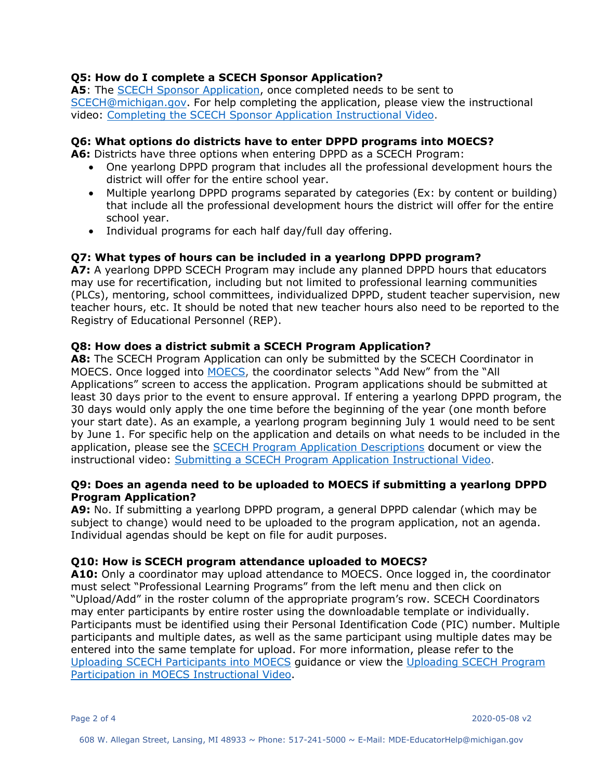# **Q5: How do I complete a SCECH Sponsor Application?**

**A5**: The [SCECH Sponsor Application,](https://www.michigan.gov/documents/mde/SCECH_Sponsor_Application_705994_7.pdf) once completed needs to be sent to [SCECH@michigan.gov.](mailto:SCECH@michigan.gov) For help completing the application, please view the instructional video: [Completing the SCECH Sponsor Application Instructional Video.](https://youtu.be/i7VU6F6NkhQ)

# **Q6: What options do districts have to enter DPPD programs into MOECS?**

**A6:** Districts have three options when entering DPPD as a SCECH Program:

- One yearlong DPPD program that includes all the professional development hours the district will offer for the entire school year.
- Multiple yearlong DPPD programs separated by categories (Ex: by content or building) that include all the professional development hours the district will offer for the entire school year.
- Individual programs for each half day/full day offering.

# **Q7: What types of hours can be included in a yearlong DPPD program?**

**A7:** A yearlong DPPD SCECH Program may include any planned DPPD hours that educators may use for recertification, including but not limited to professional learning communities (PLCs), mentoring, school committees, individualized DPPD, student teacher supervision, new teacher hours, etc. It should be noted that new teacher hours also need to be reported to the Registry of Educational Personnel (REP).

#### **Q8: How does a district submit a SCECH Program Application?**

**A8:** The SCECH Program Application can only be submitted by the SCECH Coordinator in MOECS. Once logged into [MOECS,](http://www.michigan.gov/moecs) the coordinator selects "Add New" from the "All Applications" screen to access the application. Program applications should be submitted at least 30 days prior to the event to ensure approval. If entering a yearlong DPPD program, the 30 days would only apply the one time before the beginning of the year (one month before your start date). As an example, a yearlong program beginning July 1 would need to be sent by June 1. For specific help on the application and details on what needs to be included in the application, please see the [SCECH Program Application Descriptions](https://michigan.gov/documents/mde/SCECH_Program_Application_Descriptions_678205_7.pdf) document or view the instructional video: [Submitting a SCECH Program Application Instructional Video.](https://youtu.be/ur44GKBJ6eg)

# **Q9: Does an agenda need to be uploaded to MOECS if submitting a yearlong DPPD Program Application?**

**A9:** No. If submitting a yearlong DPPD program, a general DPPD calendar (which may be subject to change) would need to be uploaded to the program application, not an agenda. Individual agendas should be kept on file for audit purposes.

# **Q10: How is SCECH program attendance uploaded to MOECS?**

**A10:** Only a coordinator may upload attendance to MOECS. Once logged in, the coordinator must select "Professional Learning Programs" from the left menu and then click on "Upload/Add" in the roster column of the appropriate program's row. SCECH Coordinators may enter participants by entire roster using the downloadable template or individually. Participants must be identified using their Personal Identification Code (PIC) number. Multiple participants and multiple dates, as well as the same participant using multiple dates may be entered into the same template for upload. For more information, please refer to the [Uploading SCECH Participants into MOECS](https://michigan.gov/documents/mde/Uploading_SCECH_Participants_in_MOECS_678223_7.pdf) guidance or view the [Uploading SCECH Program](https://gcc01.safelinks.protection.outlook.com/?url=https%3A%2F%2Fyoutu.be%2FbRs-VOFfy3E&data=02%7C01%7CSnitgenM1%40michigan.gov%7C79149c3314a346708e9b08d785917141%7Cd5fb7087377742ad966a892ef47225d1%7C0%7C0%7C637124732025631595&sdata=nssnvfBDIcBzjSK6VYOGFwh6w7z9MM39trjGHSQDZNw%3D&reserved=0)  [Participation in MOECS Instructional Video.](https://gcc01.safelinks.protection.outlook.com/?url=https%3A%2F%2Fyoutu.be%2FbRs-VOFfy3E&data=02%7C01%7CSnitgenM1%40michigan.gov%7C79149c3314a346708e9b08d785917141%7Cd5fb7087377742ad966a892ef47225d1%7C0%7C0%7C637124732025631595&sdata=nssnvfBDIcBzjSK6VYOGFwh6w7z9MM39trjGHSQDZNw%3D&reserved=0)

Page 2 of 4 2020-05-08 v2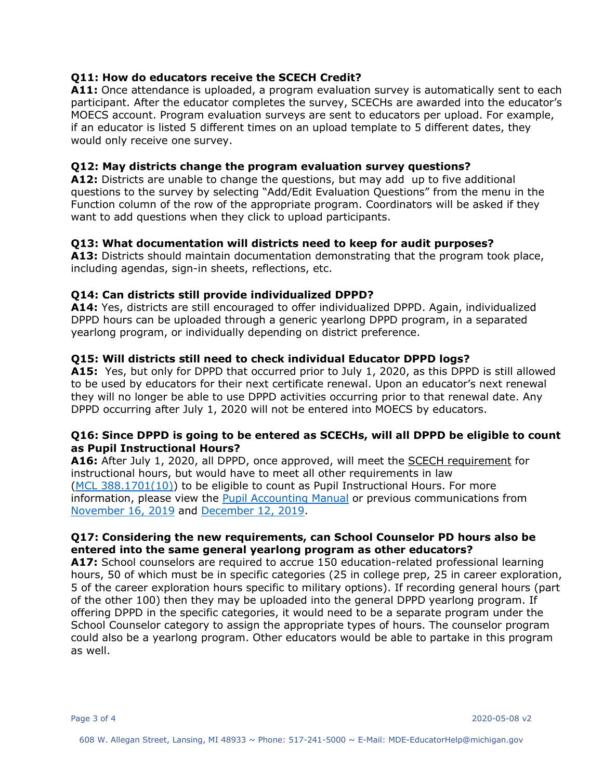# **Q11: How do educators receive the SCECH Credit?**

A11: Once attendance is uploaded, a program evaluation survey is automatically sent to each participant. After the educator completes the survey, SCECHs are awarded into the educator's MOECS account. Program evaluation surveys are sent to educators per upload. For example, if an educator is listed 5 different times on an upload template to 5 different dates, they would only receive one survey.

#### **Q12: May districts change the program evaluation survey questions?**

**A12:** Districts are unable to change the questions, but may add up to five additional questions to the survey by selecting "Add/Edit Evaluation Questions" from the menu in the Function column of the row of the appropriate program. Coordinators will be asked if they want to add questions when they click to upload participants.

#### **Q13: What documentation will districts need to keep for audit purposes?**

**A13:** Districts should maintain documentation demonstrating that the program took place, including agendas, sign-in sheets, reflections, etc.

#### **Q14: Can districts still provide individualized DPPD?**

**A14:** Yes, districts are still encouraged to offer individualized DPPD. Again, individualized DPPD hours can be uploaded through a generic yearlong DPPD program, in a separated yearlong program, or individually depending on district preference.

#### **Q15: Will districts still need to check individual Educator DPPD logs?**

**A15:** Yes, but only for DPPD that occurred prior to July 1, 2020, as this DPPD is still allowed to be used by educators for their next certificate renewal. Upon an educator's next renewal they will no longer be able to use DPPD activities occurring prior to that renewal date. Any DPPD occurring after July 1, 2020 will not be entered into MOECS by educators.

#### **Q16: Since DPPD is going to be entered as SCECHs, will all DPPD be eligible to count as Pupil Instructional Hours?**

**A16:** After July 1, 2020, all DPPD, once approved, will meet the SCECH requirement for instructional hours, but would have to meet all other requirements in law [\(MCL 388.1701\(10\)\)](http://www.legislature.mi.gov/(S(zhqwyh3mncrdjxmyiq4wl5gl))/mileg.aspx?page=getObject&objectName=mcl-388-1701) to be eligible to count as Pupil Instructional Hours. For more information, please view the [Pupil Accounting Manual](https://www.michigan.gov/mde/0,4615,7-140-6605-22360--,00.html) or previous communications from [November 16, 2019](https://www.michigan.gov/documents/mde/DPPD_Instructional_Time_671383_7.pdf) and [December 12, 2019.](https://www.michigan.gov/documents/mde/Qualifying_PD_Instructional_Hours_673768_7.pdf)

# **Q17: Considering the new requirements, can School Counselor PD hours also be entered into the same general yearlong program as other educators?**

**A17:** School counselors are required to accrue 150 education-related professional learning hours, 50 of which must be in specific categories (25 in college prep, 25 in career exploration, 5 of the career exploration hours specific to military options). If recording general hours (part of the other 100) then they may be uploaded into the general DPPD yearlong program. If offering DPPD in the specific categories, it would need to be a separate program under the School Counselor category to assign the appropriate types of hours. The counselor program could also be a yearlong program. Other educators would be able to partake in this program as well.

Page 3 of 4 2020-05-08 v2